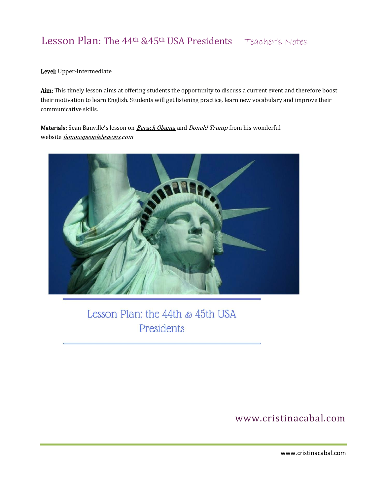### Level: Upper-Intermediate

Aim: This timely lesson aims at offering students the opportunity to discuss a current event and therefore boost their motivation to learn English. Students will get listening practice, learn new vocabulary and improve their communicative skills.

Materials: Sean Banville's lesson on **[Barack Obama](http://www.famouspeoplelessons.com/b/barack_obama.html)** and *[Donald Trump](http://www.famouspeoplelessons.com/d/donald-trump.html)* from his wonderful website *[famouspeoplelessons.](http://www.famouspeoplelessons.com/)com* 



Lesson Plan: the 44th & 45th USA Presidents

www.cristinacabal.com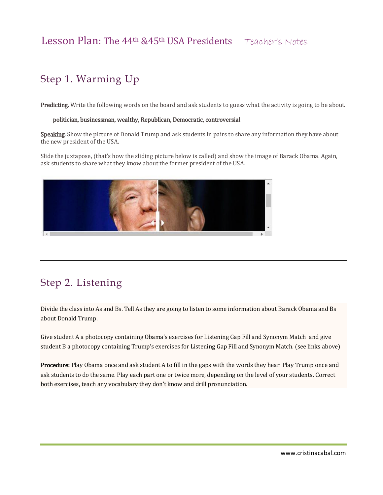# Step 1. Warming Up

Predicting. Write the following words on the board and ask students to guess what the activity is going to be about.

#### politician, businessman, wealthy, Republican, Democratic, controversial

Speaking. Show the picture of Donald Trump and ask students in pairs to share any information they have about the new president of the USA.

Slide the juxtapose, (that's how the sliding picture below is called) and show the image of Barack Obama. Again, ask students to share what they know about the former president of the USA.



## Step 2. Listening

Divide the class into As and Bs. Tell As they are going to listen to some information about Barack Obama and Bs about Donald Trump.

Give student A a photocopy containing Obama's exercises for Listening Gap Fill and Synonym Match and give student B a photocopy containing Trump's exercises for Listening Gap Fill and Synonym Match. (see links above)

Procedure: Play Obama once and ask student A to fill in the gaps with the words they hear. Play Trump once and ask students to do the same. Play each part one or twice more, depending on the level of your students. Correct both exercises, teach any vocabulary they don't know and drill pronunciation.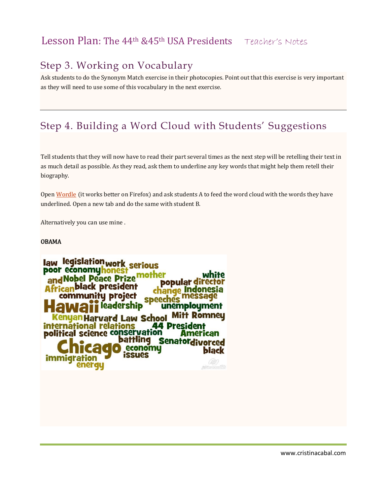### Step 3. Working on Vocabulary

Ask students to do the Synonym Match exercise in their photocopies. Point out that this exercise is very important as they will need to use some of this vocabulary in the next exercise.

# Step 4. Building a Word Cloud with Students' Suggestions

Tell students that they will now have to read their part several times as the next step will be retelling their text in as much detail as possible. As they read, ask them to underline any key words that might help them retell their biography.

Open [Wordle](http://www.wordle.net/) (it works better on Firefox) and ask students A to feed the word cloud with the words they have underlined. Open a new tab and do the same with student B.

Alternatively you can use mine .

### OBAMA

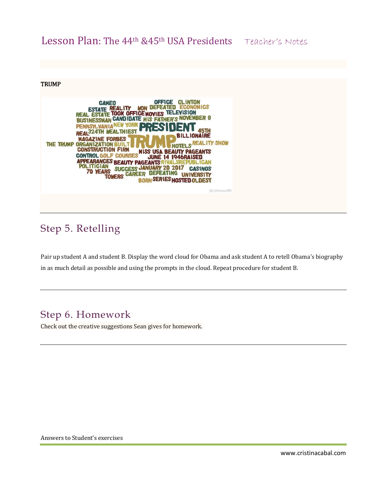#### **TRUMP**



### Step 5. Retelling

Pair up student A and student B. Display the word cloud for Obama and ask student A to retell Obama's biography in as much detail as possible and using the prompts in the cloud. Repeat procedure for student B.

### Step 6. Homework

Check out the creative suggestions Sean gives for homework.

Answers to Student's exercises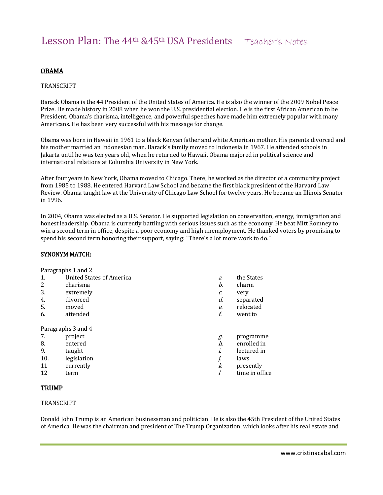### OBAMA

#### TRANSCRIPT

Barack Obama is the 44 President of the United States of America. He is also the winner of the 2009 Nobel Peace Prize. He made history in 2008 when he won the U.S. presidential election. He is the first African American to be President. Obama's charisma, intelligence, and powerful speeches have made him extremely popular with many Americans. He has been very successful with his message for change.

Obama was born in Hawaii in 1961 to a black Kenyan father and white American mother. His parents divorced and his mother married an Indonesian man. Barack's family moved to Indonesia in 1967. He attended schools in Jakarta until he was ten years old, when he returned to Hawaii. Obama majored in political science and international relations at Columbia University in New York.

After four years in New York, Obama moved to Chicago. There, he worked as the director of a community project from 1985 to 1988. He entered Harvard Law School and became the first black president of the Harvard Law Review. Obama taught law at the University of Chicago Law School for twelve years. He became an Illinois Senator in 1996.

In 2004, Obama was elected as a U.S. Senator. He supported legislation on conservation, energy, immigration and honest leadership. Obama is currently battling with serious issues such as the economy. He beat Mitt Romney to win a second term in office, despite a poor economy and high unemployment. He thanked voters by promising to spend his second term honoring their support, saying: "There's a lot more work to do."

#### SYNONYM MATCH:

|         | Paragraphs 1 and 2       |                  |                |
|---------|--------------------------|------------------|----------------|
| 1.      | United States of America | a.               | the States     |
| 2       | charisma                 | b.               | charm          |
| 3.      | extremely                | c.               | very           |
| 4.      | divorced                 | d.               | separated      |
| 5.      | moved                    | e.               | relocated      |
| 6.      | attended                 | f.               | went to        |
|         | Paragraphs 3 and 4       |                  |                |
| 7.      | project                  | g.               | programme      |
| 8.      | entered                  | h.               | enrolled in    |
| 9.      | taught                   | i.               | lectured in    |
| 10.     | legislation              | j.               | laws           |
| 11      | currently                | $\boldsymbol{k}$ | presently      |
| 12      | term                     | 1                | time in office |
| ------- |                          |                  |                |

### TRUMP

#### TRANSCRIPT

Donald John Trump is an American businessman and politician. He is also the 45th President of the United States of America. He was the chairman and president of The Trump Organization, which looks after his real estate and